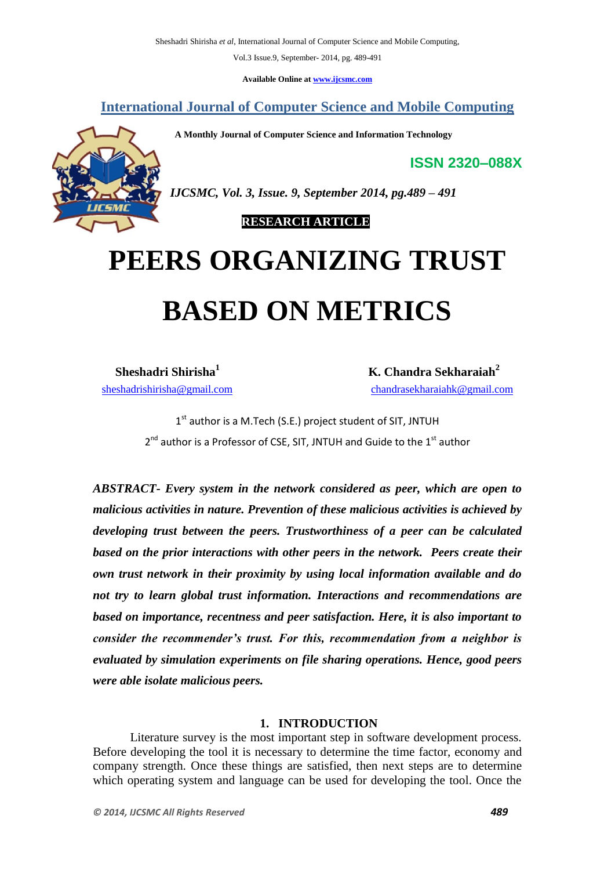Vol.3 Issue.9, September- 2014, pg. 489-491

**Available Online at www.ijcsmc.com**

**International Journal of Computer Science and Mobile Computing**

 **A Monthly Journal of Computer Science and Information Technology**

**ISSN 2320–088X**



*IJCSMC, Vol. 3, Issue. 9, September 2014, pg.489 – 491*

 **RESEARCH ARTICLE**

## **PEERS ORGANIZING TRUST BASED ON METRICS**

**Sheshadri Shirisha<sup>1</sup>**

 **K. Chandra Sekharaiah<sup>2</sup>** sheshadrishirisha@gmail.com chandrasekharaiahk@gmail.com

> 1<sup>st</sup> author is a M.Tech (S.E.) project student of SIT, JNTUH  $2^{nd}$  author is a Professor of CSE, SIT, JNTUH and Guide to the  $1^{st}$  author

*ABSTRACT- Every system in the network considered as peer, which are open to malicious activities in nature. Prevention of these malicious activities is achieved by developing trust between the peers. Trustworthiness of a peer can be calculated based on the prior interactions with other peers in the network. Peers create their own trust network in their proximity by using local information available and do not try to learn global trust information. Interactions and recommendations are based on importance, recentness and peer satisfaction. Here, it is also important to consider the recommender's trust. For this, recommendation from a neighbor is evaluated by simulation experiments on file sharing operations. Hence, good peers were able isolate malicious peers.*

## **1. INTRODUCTION**

Literature survey is the most important step in software development process. Before developing the tool it is necessary to determine the time factor, economy and company strength. Once these things are satisfied, then next steps are to determine which operating system and language can be used for developing the tool. Once the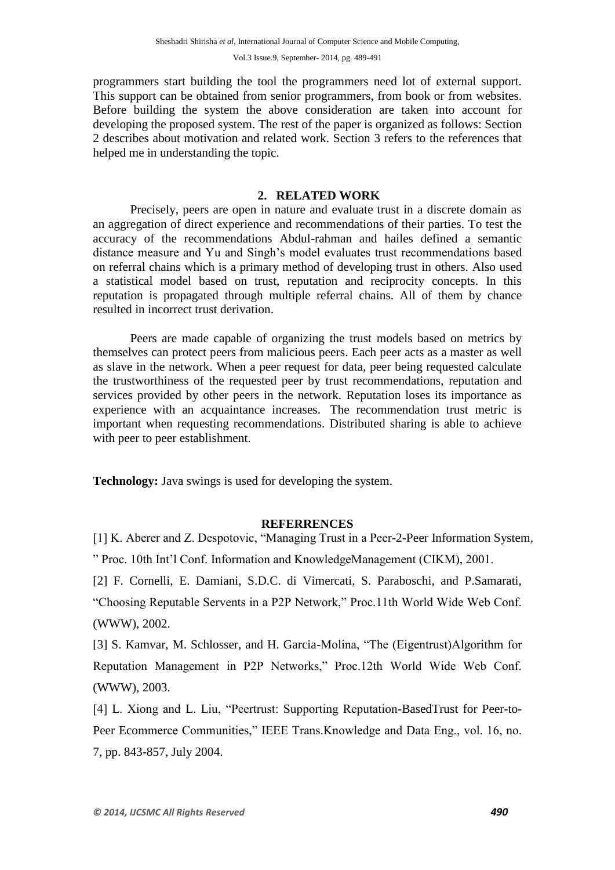programmers start building the tool the programmers need lot of external support. This support can be obtained from senior programmers, from book or from websites. Before building the system the above consideration are taken into account for developing the proposed system. The rest of the paper is organized as follows: Section 2 describes about motivation and related work. Section 3 refers to the references that helped me in understanding the topic.

## **2. RELATED WORK**

Precisely, peers are open in nature and evaluate trust in a discrete domain as an aggregation of direct experience and recommendations of their parties. To test the accuracy of the recommendations Abdul-rahman and hailes defined a semantic distance measure and Yu and Singh's model evaluates trust recommendations based on referral chains which is a primary method of developing trust in others. Also used a statistical model based on trust, reputation and reciprocity concepts. In this reputation is propagated through multiple referral chains. All of them by chance resulted in incorrect trust derivation.

Peers are made capable of organizing the trust models based on metrics by themselves can protect peers from malicious peers. Each peer acts as a master as well as slave in the network. When a peer request for data, peer being requested calculate the trustworthiness of the requested peer by trust recommendations, reputation and services provided by other peers in the network. Reputation loses its importance as experience with an acquaintance increases. The recommendation trust metric is important when requesting recommendations. Distributed sharing is able to achieve with peer to peer establishment.

**Technology:** Java swings is used for developing the system.

## **REFERRENCES**

[1] K. Aberer and Z. Despotovic, "Managing Trust in a Peer-2-Peer Information System, " Proc. 10th Int'l Conf. Information and KnowledgeManagement (CIKM), 2001.

[2] F. Cornelli, E. Damiani, S.D.C. di Vimercati, S. Paraboschi, and P.Samarati, "Choosing Reputable Servents in a P2P Network," Proc.11th World Wide Web Conf. (WWW), 2002.

[3] S. Kamvar, M. Schlosser, and H. Garcia-Molina, "The (Eigentrust)Algorithm for Reputation Management in P2P Networks," Proc.12th World Wide Web Conf. (WWW), 2003.

[4] L. Xiong and L. Liu, "Peertrust: Supporting Reputation-BasedTrust for Peer-to-Peer Ecommerce Communities," IEEE Trans.Knowledge and Data Eng., vol. 16, no. 7, pp. 843-857, July 2004.